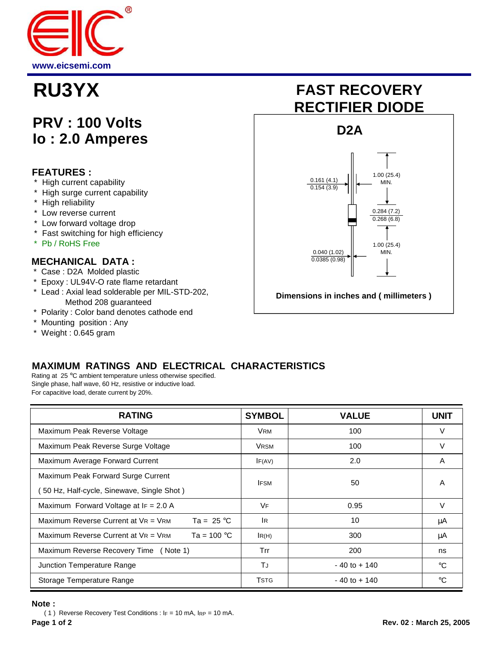

## **PRV : 100 Volts Io : 2.0 Amperes**

### **FEATURES :**

- \* High current capability
- \* High surge current capability
- \* High reliability
- \* Low reverse current
- \* Low forward voltage drop
- \* Fast switching for high efficiency
- \* Pb / RoHS Free

### **MECHANICAL DATA :**

- \* Case : D2A Molded plastic
- \* Epoxy : UL94V-O rate flame retardant
- \* Lead : Axial lead solderable per MIL-STD-202, Method 208 guaranteed
- \* Polarity : Color band denotes cathode end
- \* Mounting position : Any
- \* Weight : 0.645 gram

# **RU3YX FAST RECOVERY RECTIFIER DIODE**



**Dimensions in inches and ( millimeters )**

## **MAXIMUM RATINGS AND ELECTRICAL CHARACTERISTICS**

Rating at 25 °C ambient temperature unless otherwise specified. Single phase, half wave, 60 Hz, resistive or inductive load. For capacitive load, derate current by 20%.

| <b>RATING</b>                                                    | <b>SYMBOL</b> | <b>VALUE</b>    | <b>UNIT</b>  |
|------------------------------------------------------------------|---------------|-----------------|--------------|
| Maximum Peak Reverse Voltage                                     | <b>VRM</b>    | 100             | v            |
| Maximum Peak Reverse Surge Voltage                               | <b>VRSM</b>   | 100             | v            |
| Maximum Average Forward Current                                  | IF(AV)        | 2.0             | A            |
| Maximum Peak Forward Surge Current                               | <b>IFSM</b>   | 50              | A            |
| 50 Hz, Half-cycle, Sinewave, Single Shot)                        |               |                 |              |
| Maximum Forward Voltage at $IF = 2.0 A$                          | VF.           | 0.95            | v            |
| Ta = $25^{\circ}$ C<br>Maximum Reverse Current at $V_R = V_{RM}$ | IR.           | 10              | μA           |
| Maximum Reverse Current at $V_R = V_{RM}$<br>Ta = $100 °C$       | IR(H)         | 300             | μA           |
| Maximum Reverse Recovery Time (Note 1)                           | Trr           | 200             | ns           |
| Junction Temperature Range                                       | TJ            | $-40$ to $+140$ | $^{\circ}$ C |
| Storage Temperature Range                                        | <b>TSTG</b>   | $-40$ to $+140$ | °C           |

#### **Note :**

( 1 ) Reverse Recovery Test Conditions : IF = 10 mA, IRP = 10 mA.